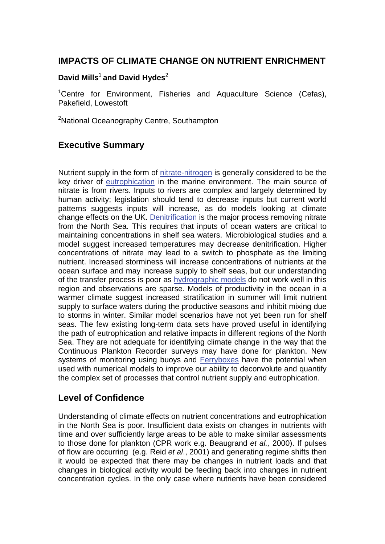## **IMPACTS OF CLIMATE CHANGE ON NUTRIENT ENRICHMENT**

#### **David Mills**<sup>1</sup>**and David Hydes**<sup>2</sup>

<sup>1</sup>Centre for Environment, Fisheries and Aquaculture Science (Cefas), Pakefield, Lowestoft

<sup>2</sup>National Oceanography Centre, Southampton

## **Executive Summary**

Nutrient supply in the form of [nitrate-nitrogen i](http://www.mccip.org.uk/arc/glossary.htm)s generally considered to be the key driver of [eutrophication](http://www.mccip.org.uk/arc/glossary.htm) in the marine environment. The main source of nitrate is from rivers. Inputs to rivers are complex and largely determined by human activity; legislation should tend to decrease inputs but current world patterns suggests inputs will increase, as do models looking at climate change effects on the UK[. Denitrification](http://www.mccip.org.uk/arc/glossary.htm) is the major process removing nitrate from the North Sea. This requires that inputs of ocean waters are critical to maintaining concentrations in shelf sea waters. Microbiological studies and a model suggest increased temperatures may decrease denitrification. Higher concentrations of nitrate may lead to a switch to phosphate as the limiting nutrient. Increased storminess will increase concentrations of nutrients at the ocean surface and may increase supply to shelf seas, but our understanding of the transfer process is poor as [hydrographic models d](http://www.mccip.org.uk/arc/glossary.htm)o not work well in this region and observations are sparse. Models of productivity in the ocean in a warmer climate suggest increased stratification in summer will limit nutrient supply to surface waters during the productive seasons and inhibit mixing due to storms in winter. Similar model scenarios have not yet been run for shelf seas. The few existing long-term data sets have proved useful in identifying the path of eutrophication and relative impacts in different regions of the North Sea. They are not adequate for identifying climate change in the way that the Continuous Plankton Recorder surveys may have done for plankton. New systems of monitoring using buoys and [Ferryboxes](http://www.mccip.org.uk/arc/glossary.htm) have the potential when used with numerical models to improve our ability to deconvolute and quantify the complex set of processes that control nutrient supply and eutrophication.

#### **Level of Confidence**

Understanding of climate effects on nutrient concentrations and eutrophication in the North Sea is poor. Insufficient data exists on changes in nutrients with time and over sufficiently large areas to be able to make similar assessments to those done for plankton (CPR work e.g. Beaugrand *et al.,* 2000). If pulses of flow are occurring (e.g. Reid *et al*., 2001) and generating regime shifts then it would be expected that there may be changes in nutrient loads and that changes in biological activity would be feeding back into changes in nutrient concentration cycles. In the only case where nutrients have been considered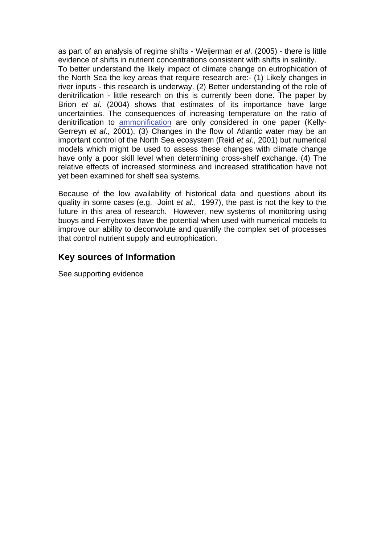as part of an analysis of regime shifts - Weijerman *et al*. (2005) - there is little evidence of shifts in nutrient concentrations consistent with shifts in salinity. To better understand the likely impact of climate change on eutrophication of the North Sea the key areas that require research are:- (1) Likely changes in river inputs - this research is underway. (2) Better understanding of the role of denitrification - little research on this is currently been done. The paper by Brion *et al*. (2004) shows that estimates of its importance have large uncertainties. The consequences of increasing temperature on the ratio of denitrification to [ammonification](http://www.mccip.org.uk/arc/glossary.htm) are only considered in one paper (Kelly-Gerreyn *et al*., 2001). (3) Changes in the flow of Atlantic water may be an important control of the North Sea ecosystem (Reid *et al*., 2001) but numerical models which might be used to assess these changes with climate change have only a poor skill level when determining cross-shelf exchange. (4) The relative effects of increased storminess and increased stratification have not

Because of the low availability of historical data and questions about its quality in some cases (e.g. Joint *et al*., 1997), the past is not the key to the future in this area of research. However, new systems of monitoring using buoys and Ferryboxes have the potential when used with numerical models to improve our ability to deconvolute and quantify the complex set of processes that control nutrient supply and eutrophication.

## **Key sources of Information**

yet been examined for shelf sea systems.

See supporting evidence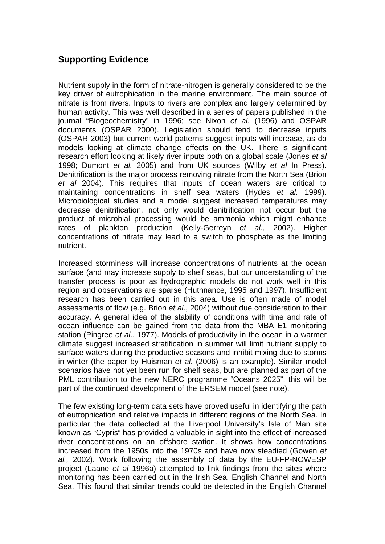# **Supporting Evidence**

Nutrient supply in the form of nitrate-nitrogen is generally considered to be the key driver of eutrophication in the marine environment. The main source of nitrate is from rivers. Inputs to rivers are complex and largely determined by human activity. This was well described in a series of papers published in the journal "Biogeochemistry" in 1996; see Nixon *et al.* (1996) and OSPAR documents (OSPAR 2000). Legislation should tend to decrease inputs (OSPAR 2003) but current world patterns suggest inputs will increase, as do models looking at climate change effects on the UK. There is significant research effort looking at likely river inputs both on a global scale (Jones *et al* 1998; Dumont *et al.* 2005) and from UK sources (Wilby *et al* In Press). Denitrification is the major process removing nitrate from the North Sea (Brion *et al* 2004). This requires that inputs of ocean waters are critical to maintaining concentrations in shelf sea waters (Hydes *et al.* 1999). Microbiological studies and a model suggest increased temperatures may decrease denitrification, not only would denitrification not occur but the product of microbial processing would be ammonia which might enhance rates of plankton production (Kelly-Gerreyn *et al*., 2002). Higher concentrations of nitrate may lead to a switch to phosphate as the limiting nutrient.

Increased storminess will increase concentrations of nutrients at the ocean surface (and may increase supply to shelf seas, but our understanding of the transfer process is poor as hydrographic models do not work well in this region and observations are sparse (Huthnance, 1995 and 1997). Insufficient research has been carried out in this area. Use is often made of model assessments of flow (e.g. Brion *et al*., 2004) without due consideration to their accuracy. A general idea of the stability of conditions with time and rate of ocean influence can be gained from the data from the MBA E1 monitoring station (Pingree *et al*., 1977). Models of productivity in the ocean in a warmer climate suggest increased stratification in summer will limit nutrient supply to surface waters during the productive seasons and inhibit mixing due to storms in winter (the paper by Huisman *et al*. (2006) is an example). Similar model scenarios have not yet been run for shelf seas, but are planned as part of the PML contribution to the new NERC programme "Oceans 2025", this will be part of the continued development of the ERSEM model (see note).

The few existing long-term data sets have proved useful in identifying the path of eutrophication and relative impacts in different regions of the North Sea. In particular the data collected at the Liverpool University's Isle of Man site known as "Cypris" has provided a valuable in sight into the effect of increased river concentrations on an offshore station. It shows how concentrations increased from the 1950s into the 1970s and have now steadied (Gowen *et al.,* 2002). Work following the assembly of data by the EU-FP-NOWESP project (Laane *et al* 1996a) attempted to link findings from the sites where monitoring has been carried out in the Irish Sea, English Channel and North Sea. This found that similar trends could be detected in the English Channel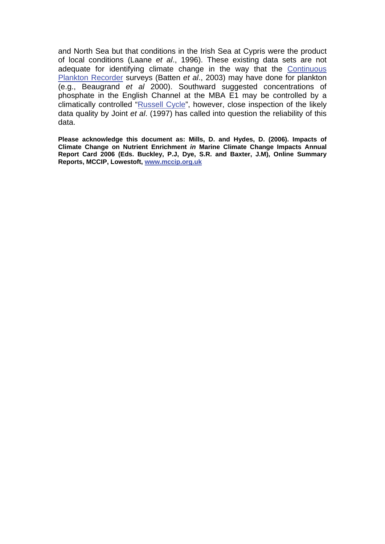and North Sea but that conditions in the Irish Sea at Cypris were the product of local conditions (Laane *et al*., 1996). These existing data sets are not adequate for identifying climate change in the way that the Continuous [Plankton Recorder s](http://www.mccip.org.uk/arc/glossary.htm)urveys (Batten *et al*., 2003) may have done for plankton (e.g., Beaugrand *et al* 2000). Southward suggested concentrations of phosphate in the English Channel at the MBA E1 may be controlled by a climatically controlled ["Russell Cycle",](http://www.mccip.org.uk/arc/glossary.htm) however, close inspection of the likely data quality by Joint *et al*. (1997) has called into question the reliability of this data.

**Please acknowledge this document as: Mills, D. and Hydes, D. (2006). Impacts of Climate Change on Nutrient Enrichment** *in* **Marine Climate Change Impacts Annual Report Card 2006 (Eds. Buckley, P.J, Dye, S.R. and Baxter, J.M), Online Summary Reports, MCCIP, Lowestoft, [www.mccip.org.uk](http://www.mccip.org.uk/)**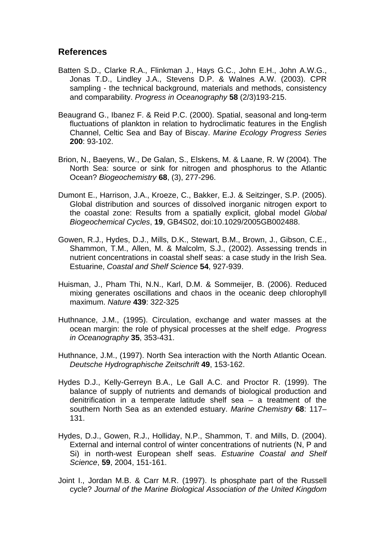#### **References**

- Batten S.D., Clarke R.A., Flinkman J., Hays G.C., John E.H., John A.W.G., Jonas T.D., Lindley J.A., Stevens D.P. & Walnes A.W. (2003). CPR sampling - the technical background, materials and methods, consistency and comparability. *Progress in Oceanography* **58** (2/3)193-215.
- Beaugrand G., Ibanez F. & Reid P.C. (2000). Spatial, seasonal and long-term fluctuations of plankton in relation to hydroclimatic features in the English Channel, Celtic Sea and Bay of Biscay. *Marine Ecology Progress Series*  **200**: 93-102.
- Brion, N., Baeyens, W., De Galan, S., Elskens, M. & Laane, R. W (2004). The North Sea: source or sink for nitrogen and phosphorus to the Atlantic Ocean? *Biogeochemistry* **68**, (3), 277-296.
- Dumont E., Harrison, J.A., Kroeze, C., Bakker, E.J. & Seitzinger, S.P. (2005). Global distribution and sources of dissolved inorganic nitrogen export to the coastal zone: Results from a spatially explicit, global model *Global Biogeochemical Cycles*, **19**, GB4S02, doi:10.1029/2005GB002488.
- Gowen, R.J., Hydes, D.J., Mills, D.K., Stewart, B.M., Brown, J., Gibson, C.E., Shammon, T.M., Allen, M. & Malcolm, S.J., (2002). Assessing trends in nutrient concentrations in coastal shelf seas: a case study in the Irish Sea. Estuarine, *Coastal and Shelf Science* **54**, 927-939.
- Huisman, J., Pham Thi, N.N., Karl, D.M. & Sommeijer, B. (2006). Reduced mixing generates oscillations and chaos in the oceanic deep chlorophyll maximum. *Nature* **439**: 322-325
- Huthnance, J.M., (1995). Circulation, exchange and water masses at the ocean margin: the role of physical processes at the shelf edge. *Progress in Oceanography* **35**, 353-431.
- Huthnance, J.M., (1997). North Sea interaction with the North Atlantic Ocean. *Deutsche Hydrographische Zeitschrift* **49**, 153-162.
- Hydes D.J., Kelly-Gerreyn B.A., Le Gall A.C. and Proctor R. (1999). The balance of supply of nutrients and demands of biological production and denitrification in a temperate latitude shelf sea – a treatment of the southern North Sea as an extended estuary. *Marine Chemistry* **68**: 117– 131.
- Hydes, D.J., Gowen, R.J., Holliday, N.P., Shammon, T. and Mills, D. (2004). External and internal control of winter concentrations of nutrients (N, P and Si) in north-west European shelf seas. *Estuarine Coastal and Shelf Science*, **59**, 2004, 151-161.
- Joint I., Jordan M.B. & Carr M.R. (1997). Is phosphate part of the Russell cycle? *Journal of the Marine Biological Association of the United Kingdom*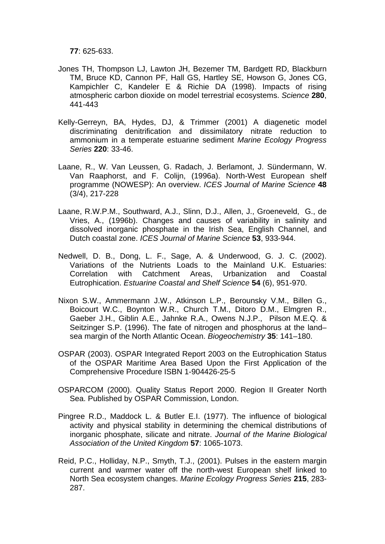**77**: 625-633.

- Jones TH, Thompson LJ, Lawton JH, Bezemer TM, Bardgett RD, Blackburn TM, Bruce KD, Cannon PF, Hall GS, Hartley SE, Howson G, Jones CG, Kampichler C, Kandeler E & Richie DA (1998). Impacts of rising atmospheric carbon dioxide on model terrestrial ecosystems. *Science* **280**, 441-443
- Kelly-Gerreyn, BA, Hydes, DJ, & Trimmer (2001) A diagenetic model discriminating denitrification and dissimilatory nitrate reduction to ammonium in a temperate estuarine sediment *Marine Ecology Progress Series* **220**: 33-46.
- Laane, R., W. Van Leussen, G. Radach, J. Berlamont, J. Sündermann, W. Van Raaphorst, and F. Colijn, (1996a). North-West European shelf programme (NOWESP): An overview. *ICES Journal of Marine Science* **48** (3/4), 217-228
- Laane, R.W.P.M., Southward, A.J., Slinn, D.J., Allen, J., Groeneveld, G., de Vries, A., (1996b). Changes and causes of variability in salinity and dissolved inorganic phosphate in the Irish Sea, English Channel, and Dutch coastal zone. *ICES Journal of Marine Science* **53**, 933-944.
- Nedwell, D. B., Dong, L. F., Sage, A. & Underwood, G. J. C. (2002). Variations of the Nutrients Loads to the Mainland U.K. Estuaries: Correlation with Catchment Areas, Urbanization and Coastal Eutrophication. *Estuarine Coastal and Shelf Science* **54** (6), 951-970.
- Nixon S.W., Ammermann J.W., Atkinson L.P., Berounsky V.M., Billen G., Boicourt W.C., Boynton W.R., Church T.M., Ditoro D.M., Elmgren R., Gaeber J.H., Giblin A.E., Jahnke R.A., Owens N.J.P., Pilson M.E.Q. & Seitzinger S.P. (1996). The fate of nitrogen and phosphorus at the land– sea margin of the North Atlantic Ocean. *Biogeochemistry* **35**: 141–180.
- OSPAR (2003). OSPAR Integrated Report 2003 on the Eutrophication Status of the OSPAR Maritime Area Based Upon the First Application of the Comprehensive Procedure ISBN 1-904426-25-5
- OSPARCOM (2000). Quality Status Report 2000. Region II Greater North Sea. Published by OSPAR Commission, London.
- Pingree R.D., Maddock L. & Butler E.I. (1977). The influence of biological activity and physical stability in determining the chemical distributions of inorganic phosphate, silicate and nitrate. *Journal of the Marine Biological Association of the United Kingdom* **57**: 1065-1073.
- Reid, P.C., Holliday, N.P., Smyth, T.J., (2001). Pulses in the eastern margin current and warmer water off the north-west European shelf linked to North Sea ecosystem changes. *Marine Ecology Progress Series* **215**, 283- 287.